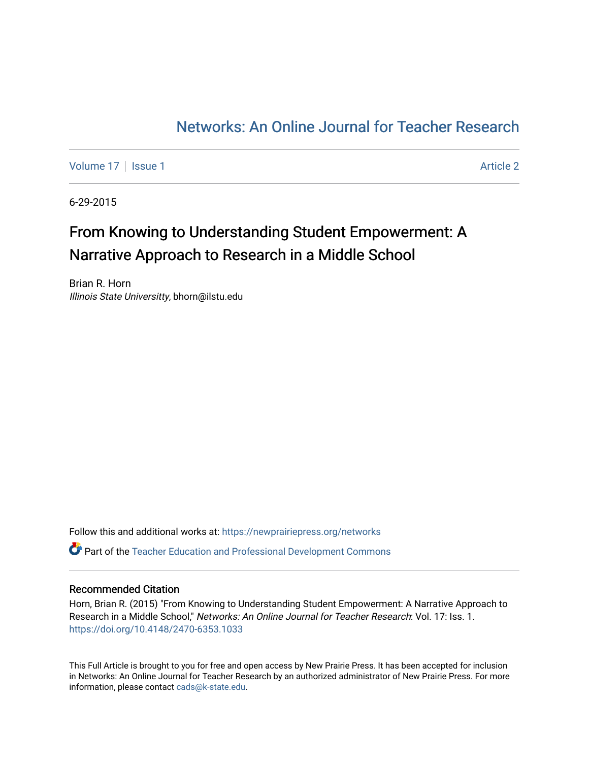## [Networks: An Online Journal for Teacher Research](https://newprairiepress.org/networks)

[Volume 17](https://newprairiepress.org/networks/vol17) | [Issue 1](https://newprairiepress.org/networks/vol17/iss1) Article 2

6-29-2015

## From Knowing to Understanding Student Empowerment: A Narrative Approach to Research in a Middle School

Brian R. Horn Illinois State Universitty, bhorn@ilstu.edu

Follow this and additional works at: [https://newprairiepress.org/networks](https://newprairiepress.org/networks?utm_source=newprairiepress.org%2Fnetworks%2Fvol17%2Fiss1%2F2&utm_medium=PDF&utm_campaign=PDFCoverPages) Part of the [Teacher Education and Professional Development Commons](http://network.bepress.com/hgg/discipline/803?utm_source=newprairiepress.org%2Fnetworks%2Fvol17%2Fiss1%2F2&utm_medium=PDF&utm_campaign=PDFCoverPages) 

#### Recommended Citation

Horn, Brian R. (2015) "From Knowing to Understanding Student Empowerment: A Narrative Approach to Research in a Middle School," Networks: An Online Journal for Teacher Research: Vol. 17: Iss. 1. <https://doi.org/10.4148/2470-6353.1033>

This Full Article is brought to you for free and open access by New Prairie Press. It has been accepted for inclusion in Networks: An Online Journal for Teacher Research by an authorized administrator of New Prairie Press. For more information, please contact [cads@k-state.edu](mailto:cads@k-state.edu).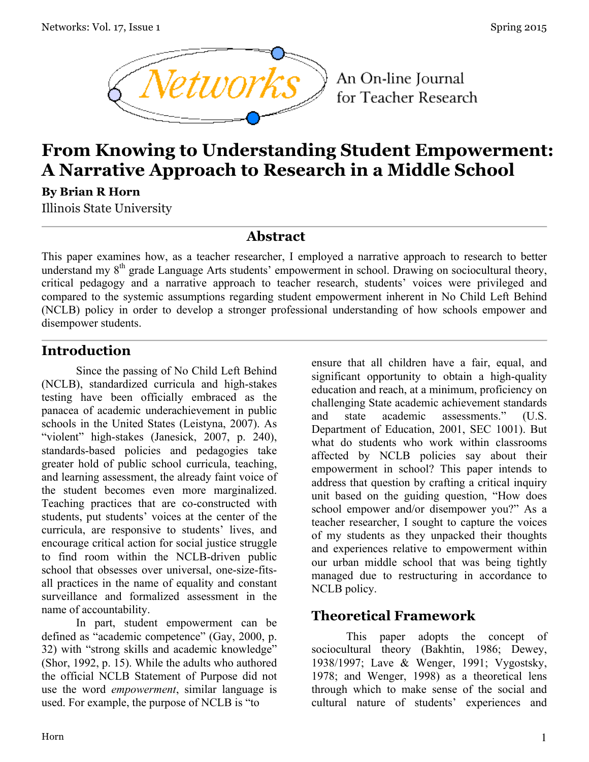

An On-line Journal for Teacher Research

# **From Knowing to Understanding Student Empowerment: A Narrative Approach to Research in a Middle School**

**By Brian R Horn**

Illinois State University

#### **Abstract**

This paper examines how, as a teacher researcher, I employed a narrative approach to research to better understand my 8<sup>th</sup> grade Language Arts students' empowerment in school. Drawing on sociocultural theory, critical pedagogy and a narrative approach to teacher research, students' voices were privileged and compared to the systemic assumptions regarding student empowerment inherent in No Child Left Behind (NCLB) policy in order to develop a stronger professional understanding of how schools empower and disempower students.

#### **Introduction**

Since the passing of No Child Left Behind (NCLB), standardized curricula and high-stakes testing have been officially embraced as the panacea of academic underachievement in public schools in the United States (Leistyna, 2007). As "violent" high-stakes (Janesick, 2007, p. 240), standards-based policies and pedagogies take greater hold of public school curricula, teaching, and learning assessment, the already faint voice of the student becomes even more marginalized. Teaching practices that are co-constructed with students, put students' voices at the center of the curricula, are responsive to students' lives, and encourage critical action for social justice struggle to find room within the NCLB-driven public school that obsesses over universal, one-size-fitsall practices in the name of equality and constant surveillance and formalized assessment in the name of accountability.

In part, student empowerment can be defined as "academic competence" (Gay, 2000, p. 32) with "strong skills and academic knowledge" (Shor, 1992, p. 15). While the adults who authored the official NCLB Statement of Purpose did not use the word *empowerment*, similar language is used. For example, the purpose of NCLB is "to

ensure that all children have a fair, equal, and significant opportunity to obtain a high-quality education and reach, at a minimum, proficiency on challenging State academic achievement standards and state academic assessments." (U.S. Department of Education, 2001, SEC 1001). But what do students who work within classrooms affected by NCLB policies say about their empowerment in school? This paper intends to address that question by crafting a critical inquiry unit based on the guiding question, "How does school empower and/or disempower you?" As a teacher researcher, I sought to capture the voices of my students as they unpacked their thoughts and experiences relative to empowerment within our urban middle school that was being tightly managed due to restructuring in accordance to NCLB policy.

### **Theoretical Framework**

This paper adopts the concept of sociocultural theory (Bakhtin, 1986; Dewey, 1938/1997; Lave & Wenger, 1991; Vygostsky, 1978; and Wenger, 1998) as a theoretical lens through which to make sense of the social and cultural nature of students' experiences and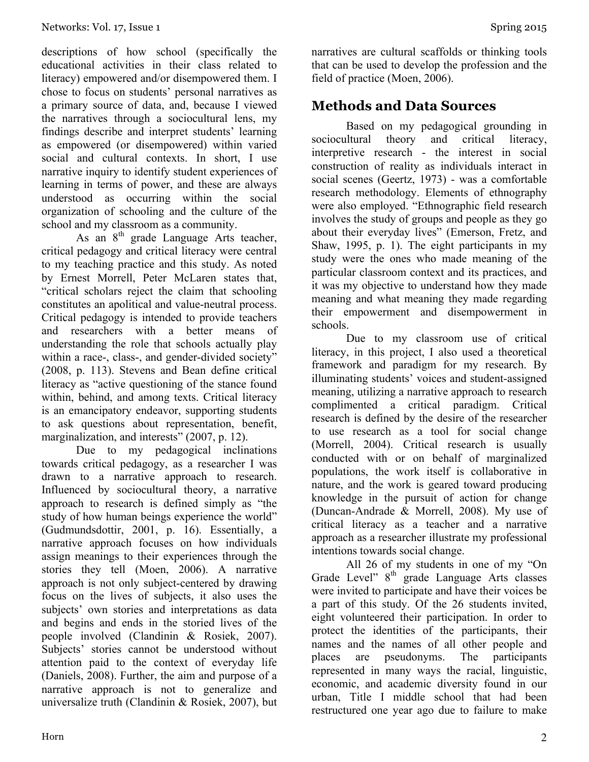descriptions of how school (specifically the educational activities in their class related to literacy) empowered and/or disempowered them. I chose to focus on students' personal narratives as a primary source of data, and, because I viewed the narratives through a sociocultural lens, my findings describe and interpret students' learning as empowered (or disempowered) within varied social and cultural contexts. In short, I use narrative inquiry to identify student experiences of learning in terms of power, and these are always understood as occurring within the social organization of schooling and the culture of the school and my classroom as a community.

As an 8<sup>th</sup> grade Language Arts teacher, critical pedagogy and critical literacy were central to my teaching practice and this study. As noted by Ernest Morrell, Peter McLaren states that, "critical scholars reject the claim that schooling constitutes an apolitical and value-neutral process. Critical pedagogy is intended to provide teachers and researchers with a better means of understanding the role that schools actually play within a race-, class-, and gender-divided society" (2008, p. 113). Stevens and Bean define critical literacy as "active questioning of the stance found within, behind, and among texts. Critical literacy is an emancipatory endeavor, supporting students to ask questions about representation, benefit, marginalization, and interests" (2007, p. 12).

Due to my pedagogical inclinations towards critical pedagogy, as a researcher I was drawn to a narrative approach to research. Influenced by sociocultural theory, a narrative approach to research is defined simply as "the study of how human beings experience the world" (Gudmundsdottir, 2001, p. 16). Essentially, a narrative approach focuses on how individuals assign meanings to their experiences through the stories they tell (Moen, 2006). A narrative approach is not only subject-centered by drawing focus on the lives of subjects, it also uses the subjects' own stories and interpretations as data and begins and ends in the storied lives of the people involved (Clandinin & Rosiek, 2007). Subjects' stories cannot be understood without attention paid to the context of everyday life (Daniels, 2008). Further, the aim and purpose of a narrative approach is not to generalize and universalize truth (Clandinin & Rosiek, 2007), but narratives are cultural scaffolds or thinking tools that can be used to develop the profession and the field of practice (Moen, 2006).

#### **Methods and Data Sources**

Based on my pedagogical grounding in sociocultural theory and critical literacy. interpretive research - the interest in social construction of reality as individuals interact in social scenes (Geertz, 1973) - was a comfortable research methodology. Elements of ethnography were also employed. "Ethnographic field research involves the study of groups and people as they go about their everyday lives" (Emerson, Fretz, and Shaw, 1995, p. 1). The eight participants in my study were the ones who made meaning of the particular classroom context and its practices, and it was my objective to understand how they made meaning and what meaning they made regarding their empowerment and disempowerment in schools.

Due to my classroom use of critical literacy, in this project, I also used a theoretical framework and paradigm for my research. By illuminating students' voices and student-assigned meaning, utilizing a narrative approach to research complimented a critical paradigm. Critical research is defined by the desire of the researcher to use research as a tool for social change (Morrell, 2004). Critical research is usually conducted with or on behalf of marginalized populations, the work itself is collaborative in nature, and the work is geared toward producing knowledge in the pursuit of action for change (Duncan-Andrade & Morrell, 2008). My use of critical literacy as a teacher and a narrative approach as a researcher illustrate my professional intentions towards social change.

All 26 of my students in one of my "On Grade Level"  $8<sup>th</sup>$  grade Language Arts classes were invited to participate and have their voices be a part of this study. Of the 26 students invited, eight volunteered their participation. In order to protect the identities of the participants, their names and the names of all other people and places are pseudonyms. The participants represented in many ways the racial, linguistic, economic, and academic diversity found in our urban, Title I middle school that had been restructured one year ago due to failure to make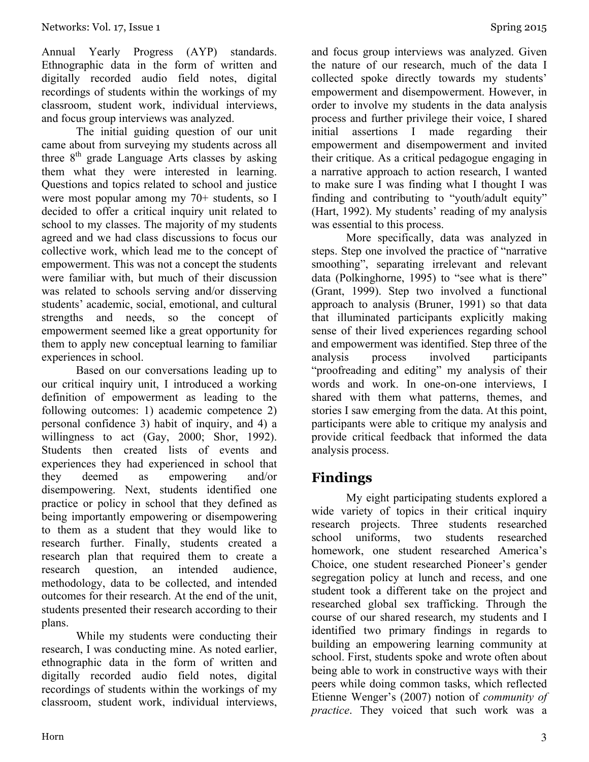Annual Yearly Progress (AYP) standards. Ethnographic data in the form of written and digitally recorded audio field notes, digital recordings of students within the workings of my classroom, student work, individual interviews, and focus group interviews was analyzed.

The initial guiding question of our unit came about from surveying my students across all three  $8<sup>th</sup>$  grade Language Arts classes by asking them what they were interested in learning. Questions and topics related to school and justice were most popular among my 70+ students, so I decided to offer a critical inquiry unit related to school to my classes. The majority of my students agreed and we had class discussions to focus our collective work, which lead me to the concept of empowerment. This was not a concept the students were familiar with, but much of their discussion was related to schools serving and/or disserving students' academic, social, emotional, and cultural strengths and needs, so the concept of empowerment seemed like a great opportunity for them to apply new conceptual learning to familiar experiences in school.

Based on our conversations leading up to our critical inquiry unit, I introduced a working definition of empowerment as leading to the following outcomes: 1) academic competence 2) personal confidence 3) habit of inquiry, and 4) a willingness to act (Gay, 2000; Shor, 1992). Students then created lists of events and experiences they had experienced in school that they deemed as empowering and/or disempowering. Next, students identified one practice or policy in school that they defined as being importantly empowering or disempowering to them as a student that they would like to research further. Finally, students created a research plan that required them to create a research question, an intended audience, methodology, data to be collected, and intended outcomes for their research. At the end of the unit, students presented their research according to their plans.

While my students were conducting their research, I was conducting mine. As noted earlier, ethnographic data in the form of written and digitally recorded audio field notes, digital recordings of students within the workings of my classroom, student work, individual interviews,

and focus group interviews was analyzed. Given the nature of our research, much of the data I collected spoke directly towards my students' empowerment and disempowerment. However, in order to involve my students in the data analysis process and further privilege their voice, I shared initial assertions I made regarding their empowerment and disempowerment and invited their critique. As a critical pedagogue engaging in a narrative approach to action research, I wanted to make sure I was finding what I thought I was finding and contributing to "youth/adult equity" (Hart, 1992). My students' reading of my analysis was essential to this process.

More specifically, data was analyzed in steps. Step one involved the practice of "narrative smoothing", separating irrelevant and relevant data (Polkinghorne, 1995) to "see what is there" (Grant, 1999). Step two involved a functional approach to analysis (Bruner, 1991) so that data that illuminated participants explicitly making sense of their lived experiences regarding school and empowerment was identified. Step three of the analysis process involved participants "proofreading and editing" my analysis of their words and work. In one-on-one interviews, I shared with them what patterns, themes, and stories I saw emerging from the data. At this point, participants were able to critique my analysis and provide critical feedback that informed the data analysis process.

### **Findings**

My eight participating students explored a wide variety of topics in their critical inquiry research projects. Three students researched school uniforms, two students researched homework, one student researched America's Choice, one student researched Pioneer's gender segregation policy at lunch and recess, and one student took a different take on the project and researched global sex trafficking. Through the course of our shared research, my students and I identified two primary findings in regards to building an empowering learning community at school. First, students spoke and wrote often about being able to work in constructive ways with their peers while doing common tasks, which reflected Etienne Wenger's (2007) notion of *community of practice*. They voiced that such work was a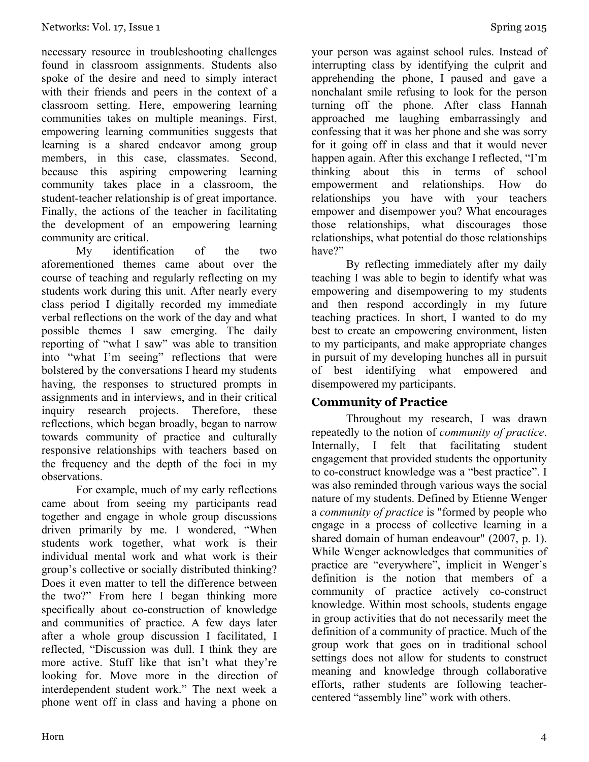necessary resource in troubleshooting challenges found in classroom assignments. Students also spoke of the desire and need to simply interact with their friends and peers in the context of a classroom setting. Here, empowering learning communities takes on multiple meanings. First, empowering learning communities suggests that learning is a shared endeavor among group members, in this case, classmates. Second, because this aspiring empowering learning community takes place in a classroom, the student-teacher relationship is of great importance. Finally, the actions of the teacher in facilitating the development of an empowering learning community are critical.

My identification of the two aforementioned themes came about over the course of teaching and regularly reflecting on my students work during this unit. After nearly every class period I digitally recorded my immediate verbal reflections on the work of the day and what possible themes I saw emerging. The daily reporting of "what I saw" was able to transition into "what I'm seeing" reflections that were bolstered by the conversations I heard my students having, the responses to structured prompts in assignments and in interviews, and in their critical inquiry research projects. Therefore, these reflections, which began broadly, began to narrow towards community of practice and culturally responsive relationships with teachers based on the frequency and the depth of the foci in my observations.

For example, much of my early reflections came about from seeing my participants read together and engage in whole group discussions driven primarily by me. I wondered, "When students work together, what work is their individual mental work and what work is their group's collective or socially distributed thinking? Does it even matter to tell the difference between the two?" From here I began thinking more specifically about co-construction of knowledge and communities of practice. A few days later after a whole group discussion I facilitated, I reflected, "Discussion was dull. I think they are more active. Stuff like that isn't what they're looking for. Move more in the direction of interdependent student work." The next week a phone went off in class and having a phone on

your person was against school rules. Instead of interrupting class by identifying the culprit and apprehending the phone, I paused and gave a nonchalant smile refusing to look for the person turning off the phone. After class Hannah approached me laughing embarrassingly and confessing that it was her phone and she was sorry for it going off in class and that it would never happen again. After this exchange I reflected, "I'm thinking about this in terms of school empowerment and relationships. How do relationships you have with your teachers empower and disempower you? What encourages those relationships, what discourages those relationships, what potential do those relationships have?"

By reflecting immediately after my daily teaching I was able to begin to identify what was empowering and disempowering to my students and then respond accordingly in my future teaching practices. In short, I wanted to do my best to create an empowering environment, listen to my participants, and make appropriate changes in pursuit of my developing hunches all in pursuit of best identifying what empowered and disempowered my participants.

#### **Community of Practice**

Throughout my research, I was drawn repeatedly to the notion of *community of practice*. Internally, I felt that facilitating student engagement that provided students the opportunity to co-construct knowledge was a "best practice". I was also reminded through various ways the social nature of my students. Defined by Etienne Wenger a *community of practice* is "formed by people who engage in a process of collective learning in a shared domain of human endeavour" (2007, p. 1). While Wenger acknowledges that communities of practice are "everywhere", implicit in Wenger's definition is the notion that members of a community of practice actively co-construct knowledge. Within most schools, students engage in group activities that do not necessarily meet the definition of a community of practice. Much of the group work that goes on in traditional school settings does not allow for students to construct meaning and knowledge through collaborative efforts, rather students are following teachercentered "assembly line" work with others.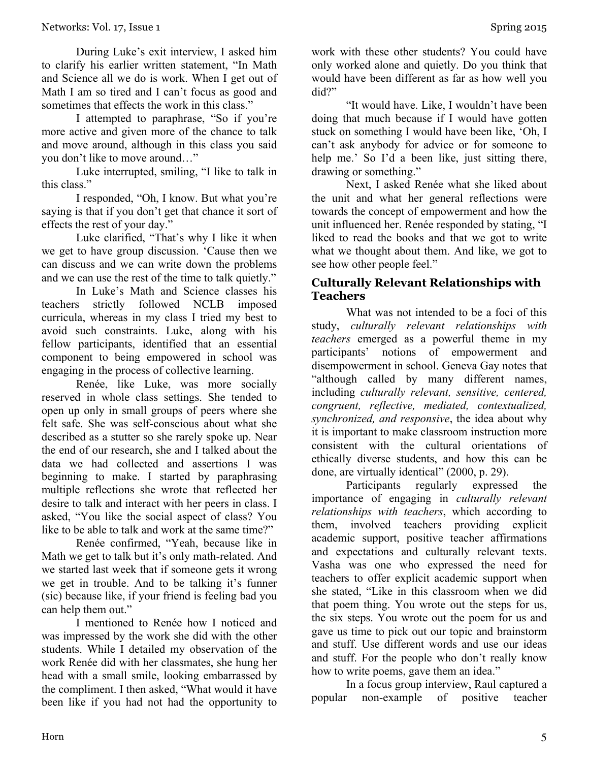During Luke's exit interview, I asked him to clarify his earlier written statement, "In Math and Science all we do is work. When I get out of Math I am so tired and I can't focus as good and sometimes that effects the work in this class."

I attempted to paraphrase, "So if you're more active and given more of the chance to talk and move around, although in this class you said you don't like to move around…"

Luke interrupted, smiling, "I like to talk in this class."

I responded, "Oh, I know. But what you're saying is that if you don't get that chance it sort of effects the rest of your day."

Luke clarified, "That's why I like it when we get to have group discussion. 'Cause then we can discuss and we can write down the problems and we can use the rest of the time to talk quietly."

In Luke's Math and Science classes his teachers strictly followed NCLB imposed curricula, whereas in my class I tried my best to avoid such constraints. Luke, along with his fellow participants, identified that an essential component to being empowered in school was engaging in the process of collective learning.

Renée, like Luke, was more socially reserved in whole class settings. She tended to open up only in small groups of peers where she felt safe. She was self-conscious about what she described as a stutter so she rarely spoke up. Near the end of our research, she and I talked about the data we had collected and assertions I was beginning to make. I started by paraphrasing multiple reflections she wrote that reflected her desire to talk and interact with her peers in class. I asked, "You like the social aspect of class? You like to be able to talk and work at the same time?"

Renée confirmed, "Yeah, because like in Math we get to talk but it's only math-related. And we started last week that if someone gets it wrong we get in trouble. And to be talking it's funner (sic) because like, if your friend is feeling bad you can help them out."

I mentioned to Renée how I noticed and was impressed by the work she did with the other students. While I detailed my observation of the work Renée did with her classmates, she hung her head with a small smile, looking embarrassed by the compliment. I then asked, "What would it have been like if you had not had the opportunity to

work with these other students? You could have only worked alone and quietly. Do you think that would have been different as far as how well you did?"

"It would have. Like, I wouldn't have been doing that much because if I would have gotten stuck on something I would have been like, 'Oh, I can't ask anybody for advice or for someone to help me.' So I'd a been like, just sitting there, drawing or something."

Next, I asked Renée what she liked about the unit and what her general reflections were towards the concept of empowerment and how the unit influenced her. Renée responded by stating, "I liked to read the books and that we got to write what we thought about them. And like, we got to see how other people feel."

#### **Culturally Relevant Relationships with Teachers**

What was not intended to be a foci of this study, *culturally relevant relationships with teachers* emerged as a powerful theme in my participants' notions of empowerment and disempowerment in school. Geneva Gay notes that "although called by many different names, including *culturally relevant, sensitive, centered, congruent, reflective, mediated, contextualized, synchronized, and responsive*, the idea about why it is important to make classroom instruction more consistent with the cultural orientations of ethically diverse students, and how this can be done, are virtually identical" (2000, p. 29).

Participants regularly expressed the importance of engaging in *culturally relevant relationships with teachers*, which according to them, involved teachers providing explicit academic support, positive teacher affirmations and expectations and culturally relevant texts. Vasha was one who expressed the need for teachers to offer explicit academic support when she stated, "Like in this classroom when we did that poem thing. You wrote out the steps for us, the six steps. You wrote out the poem for us and gave us time to pick out our topic and brainstorm and stuff. Use different words and use our ideas and stuff. For the people who don't really know how to write poems, gave them an idea."

In a focus group interview, Raul captured a popular non-example of positive teacher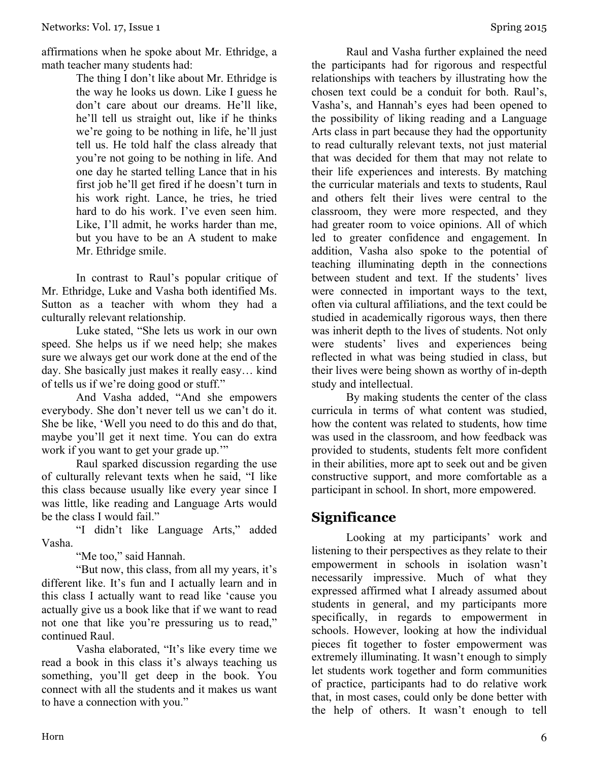affirmations when he spoke about Mr. Ethridge, a math teacher many students had:

The thing I don't like about Mr. Ethridge is the way he looks us down. Like I guess he don't care about our dreams. He'll like, he'll tell us straight out, like if he thinks we're going to be nothing in life, he'll just tell us. He told half the class already that you're not going to be nothing in life. And one day he started telling Lance that in his first job he'll get fired if he doesn't turn in his work right. Lance, he tries, he tried hard to do his work. I've even seen him. Like, I'll admit, he works harder than me, but you have to be an A student to make Mr. Ethridge smile.

In contrast to Raul's popular critique of Mr. Ethridge, Luke and Vasha both identified Ms. Sutton as a teacher with whom they had a culturally relevant relationship.

Luke stated, "She lets us work in our own speed. She helps us if we need help; she makes sure we always get our work done at the end of the day. She basically just makes it really easy… kind of tells us if we're doing good or stuff."

And Vasha added, "And she empowers everybody. She don't never tell us we can't do it. She be like, 'Well you need to do this and do that, maybe you'll get it next time. You can do extra work if you want to get your grade up."

Raul sparked discussion regarding the use of culturally relevant texts when he said, "I like this class because usually like every year since I was little, like reading and Language Arts would be the class I would fail."

"I didn't like Language Arts," added Vasha.

"Me too," said Hannah.

"But now, this class, from all my years, it's different like. It's fun and I actually learn and in this class I actually want to read like 'cause you actually give us a book like that if we want to read not one that like you're pressuring us to read," continued Raul.

Vasha elaborated, "It's like every time we read a book in this class it's always teaching us something, you'll get deep in the book. You connect with all the students and it makes us want to have a connection with you."

Raul and Vasha further explained the need the participants had for rigorous and respectful relationships with teachers by illustrating how the chosen text could be a conduit for both. Raul's, Vasha's, and Hannah's eyes had been opened to the possibility of liking reading and a Language Arts class in part because they had the opportunity to read culturally relevant texts, not just material that was decided for them that may not relate to their life experiences and interests. By matching the curricular materials and texts to students, Raul and others felt their lives were central to the classroom, they were more respected, and they had greater room to voice opinions. All of which led to greater confidence and engagement. In addition, Vasha also spoke to the potential of teaching illuminating depth in the connections between student and text. If the students' lives were connected in important ways to the text, often via cultural affiliations, and the text could be studied in academically rigorous ways, then there was inherit depth to the lives of students. Not only were students' lives and experiences being reflected in what was being studied in class, but their lives were being shown as worthy of in-depth study and intellectual.

By making students the center of the class curricula in terms of what content was studied, how the content was related to students, how time was used in the classroom, and how feedback was provided to students, students felt more confident in their abilities, more apt to seek out and be given constructive support, and more comfortable as a participant in school. In short, more empowered.

#### **Significance**

Looking at my participants' work and listening to their perspectives as they relate to their empowerment in schools in isolation wasn't necessarily impressive. Much of what they expressed affirmed what I already assumed about students in general, and my participants more specifically, in regards to empowerment in schools. However, looking at how the individual pieces fit together to foster empowerment was extremely illuminating. It wasn't enough to simply let students work together and form communities of practice, participants had to do relative work that, in most cases, could only be done better with the help of others. It wasn't enough to tell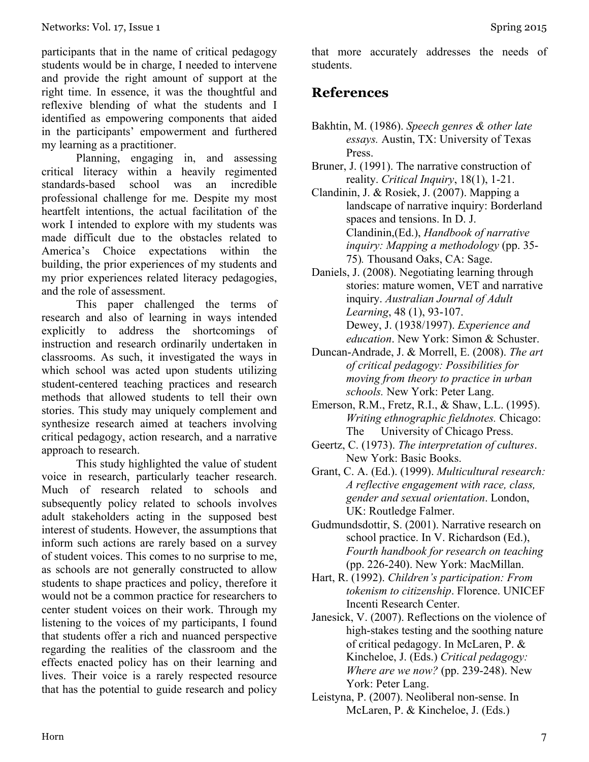participants that in the name of critical pedagogy students would be in charge, I needed to intervene and provide the right amount of support at the right time. In essence, it was the thoughtful and reflexive blending of what the students and I identified as empowering components that aided in the participants' empowerment and furthered my learning as a practitioner.

Planning, engaging in, and assessing critical literacy within a heavily regimented standards-based school was an incredible professional challenge for me. Despite my most heartfelt intentions, the actual facilitation of the work I intended to explore with my students was made difficult due to the obstacles related to America's Choice expectations within the building, the prior experiences of my students and my prior experiences related literacy pedagogies, and the role of assessment.

This paper challenged the terms of research and also of learning in ways intended explicitly to address the shortcomings of instruction and research ordinarily undertaken in classrooms. As such, it investigated the ways in which school was acted upon students utilizing student-centered teaching practices and research methods that allowed students to tell their own stories. This study may uniquely complement and synthesize research aimed at teachers involving critical pedagogy, action research, and a narrative approach to research.

This study highlighted the value of student voice in research, particularly teacher research. Much of research related to schools and subsequently policy related to schools involves adult stakeholders acting in the supposed best interest of students. However, the assumptions that inform such actions are rarely based on a survey of student voices. This comes to no surprise to me, as schools are not generally constructed to allow students to shape practices and policy, therefore it would not be a common practice for researchers to center student voices on their work. Through my listening to the voices of my participants, I found that students offer a rich and nuanced perspective regarding the realities of the classroom and the effects enacted policy has on their learning and lives. Their voice is a rarely respected resource that has the potential to guide research and policy

that more accurately addresses the needs of students.

#### **References**

- Bakhtin, M. (1986). *Speech genres & other late essays.* Austin, TX: University of Texas Press.
- Bruner, J. (1991). The narrative construction of reality. *Critical Inquiry*, 18(1), 1-21.
- Clandinin, J. & Rosiek, J. (2007). Mapping a landscape of narrative inquiry: Borderland spaces and tensions. In D. J. Clandinin,(Ed.), *Handbook of narrative inquiry: Mapping a methodology* (pp. 35- 75)*.* Thousand Oaks, CA: Sage.
- Daniels, J. (2008). Negotiating learning through stories: mature women, VET and narrative inquiry. *Australian Journal of Adult Learning*, 48 (1), 93-107. Dewey, J. (1938/1997). *Experience and education*. New York: Simon & Schuster.
- Duncan-Andrade, J. & Morrell, E. (2008). *The art of critical pedagogy: Possibilities for moving from theory to practice in urban schools.* New York: Peter Lang.
- Emerson, R.M., Fretz, R.I., & Shaw, L.L. (1995). *Writing ethnographic fieldnotes.* Chicago: The University of Chicago Press.
- Geertz, C. (1973). *The interpretation of cultures*. New York: Basic Books.
- Grant, C. A. (Ed.). (1999). *Multicultural research: A reflective engagement with race, class, gender and sexual orientation*. London, UK: Routledge Falmer.
- Gudmundsdottir, S. (2001). Narrative research on school practice. In V. Richardson (Ed.), *Fourth handbook for research on teaching*  (pp. 226-240). New York: MacMillan.
- Hart, R. (1992). *Children's participation: From tokenism to citizenship*. Florence. UNICEF Incenti Research Center.
- Janesick, V. (2007). Reflections on the violence of high-stakes testing and the soothing nature of critical pedagogy. In McLaren, P. & Kincheloe, J. (Eds.) *Critical pedagogy: Where are we now?* (pp. 239-248). New York: Peter Lang.
- Leistyna, P. (2007). Neoliberal non-sense. In McLaren, P. & Kincheloe, J. (Eds.)